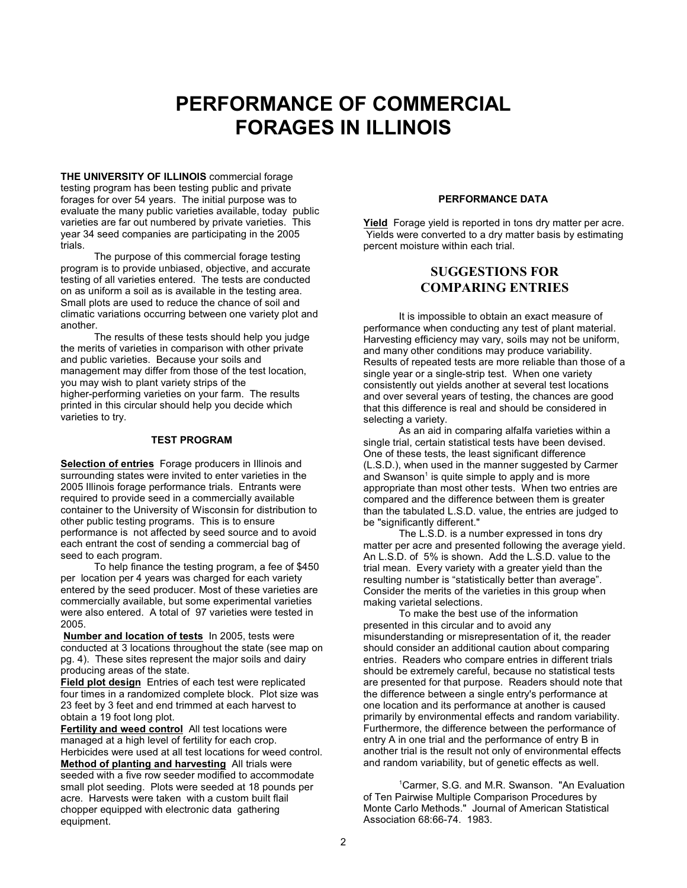# **PERFORMANCE OF COMMERCIAL FORAGES IN ILLINOIS**

**THE UNIVERSITY OF ILLINOIS** commercial forage testing program has been testing public and private forages for over 54 years. The initial purpose was to evaluate the many public varieties available, today public varieties are far out numbered by private varieties. This year 34 seed companies are participating in the 2005 trials.

The purpose of this commercial forage testing program is to provide unbiased, objective, and accurate testing of all varieties entered. The tests are conducted on as uniform a soil as is available in the testing area. Small plots are used to reduce the chance of soil and climatic variations occurring between one variety plot and another.

The results of these tests should help you judge the merits of varieties in comparison with other private and public varieties. Because your soils and management may differ from those of the test location, you may wish to plant variety strips of the higher-performing varieties on your farm. The results printed in this circular should help you decide which varieties to try.

#### **TEST PROGRAM**

**Selection of entries** Forage producers in Illinois and surrounding states were invited to enter varieties in the 2005 Illinois forage performance trials. Entrants were required to provide seed in a commercially available container to the University of Wisconsin for distribution to other public testing programs. This is to ensure performance is not affected by seed source and to avoid each entrant the cost of sending a commercial bag of seed to each program.

To help finance the testing program, a fee of \$450 per location per 4 years was charged for each variety entered by the seed producer. Most of these varieties are commercially available, but some experimental varieties were also entered. A total of 97 varieties were tested in 2005.

**Number and location of tests** In 2005, tests were conducted at 3 locations throughout the state (see map on pg. 4). These sites represent the major soils and dairy producing areas of the state.

**Field plot design** Entries of each test were replicated four times in a randomized complete block. Plot size was 23 feet by 3 feet and end trimmed at each harvest to obtain a 19 foot long plot.

**Fertility and weed control** All test locations were managed at a high level of fertility for each crop. Herbicides were used at all test locations for weed control. **Method of planting and harvesting** All trials were seeded with a five row seeder modified to accommodate small plot seeding. Plots were seeded at 18 pounds per acre. Harvests were taken with a custom built flail chopper equipped with electronic data gathering equipment.

#### **PERFORMANCE DATA**

**Yield** Forage yield is reported in tons dry matter per acre. Yields were converted to a dry matter basis by estimating percent moisture within each trial.

### **SUGGESTIONS FOR COMPARING ENTRIES**

It is impossible to obtain an exact measure of performance when conducting any test of plant material. Harvesting efficiency may vary, soils may not be uniform, and many other conditions may produce variability. Results of repeated tests are more reliable than those of a single year or a single-strip test. When one variety consistently out yields another at several test locations and over several years of testing, the chances are good that this difference is real and should be considered in selecting a variety.

As an aid in comparing alfalfa varieties within a single trial, certain statistical tests have been devised. One of these tests, the least significant difference (L.S.D.), when used in the manner suggested by Carmer and Swanson<sup>1</sup> is quite simple to apply and is more appropriate than most other tests. When two entries are compared and the difference between them is greater than the tabulated L.S.D. value, the entries are judged to be "significantly different."

The L.S.D. is a number expressed in tons dry matter per acre and presented following the average yield. An L.S.D. of 5% is shown. Add the L.S.D. value to the trial mean. Every variety with a greater yield than the resulting number is "statistically better than average". Consider the merits of the varieties in this group when making varietal selections.

To make the best use of the information presented in this circular and to avoid any misunderstanding or misrepresentation of it, the reader should consider an additional caution about comparing entries. Readers who compare entries in different trials should be extremely careful, because no statistical tests are presented for that purpose. Readers should note that the difference between a single entry's performance at one location and its performance at another is caused primarily by environmental effects and random variability. Furthermore, the difference between the performance of entry A in one trial and the performance of entry B in another trial is the result not only of environmental effects and random variability, but of genetic effects as well.

<sup>1</sup>Carmer, S.G. and M.R. Swanson. "An Evaluation of Ten Pairwise Multiple Comparison Procedures by Monte Carlo Methods." Journal of American Statistical Association 68:66-74. 1983.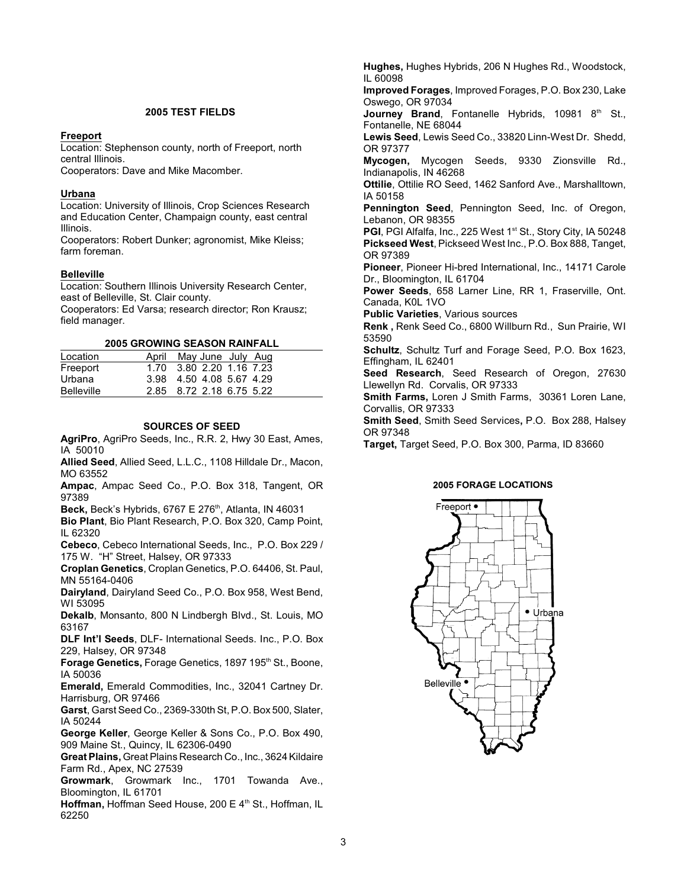#### **2005 TEST FIELDS**

#### **Freeport**

Location: Stephenson county, north of Freeport, north central Illinois.

Cooperators: Dave and Mike Macomber.

#### **Urbana**

Location: University of Illinois, Crop Sciences Research and Education Center, Champaign county, east central Illinois.

Cooperators: Robert Dunker; agronomist, Mike Kleiss; farm foreman.

#### **Belleville**

Location: Southern Illinois University Research Center, east of Belleville, St. Clair county.

Cooperators: Ed Varsa; research director; Ron Krausz; field manager.

**2005 GROWING SEASON RAINFALL**

| Location   | April May June July Aug  |
|------------|--------------------------|
| Freeport   | 1.70 3.80 2.20 1.16 7.23 |
| Urbana     | 3.98 4.50 4.08 5.67 4.29 |
| Belleville | 2.85 8.72 2.18 6.75 5.22 |

#### **SOURCES OF SEED**

**AgriPro**, AgriPro Seeds, Inc., R.R. 2, Hwy 30 East, Ames, IA 50010

**Allied Seed**, Allied Seed, L.L.C., 1108 Hilldale Dr., Macon, MO 63552

**Ampac**, Ampac Seed Co., P.O. Box 318, Tangent, OR 97389

**Beck, Beck's Hybrids, 6767 E 276<sup>th</sup>, Atlanta, IN 46031** 

**Bio Plant**, Bio Plant Research, P.O. Box 320, Camp Point, IL 62320

**Cebeco**, Cebeco International Seeds, Inc., P.O. Box 229 / 175 W. "H" Street, Halsey, OR 97333

**Croplan Genetics**, Croplan Genetics, P.O. 64406, St. Paul, MN 55164-0406

**Dairyland**, Dairyland Seed Co., P.O. Box 958, West Bend, WI 53095

**Dekalb**, Monsanto, 800 N Lindbergh Blvd., St. Louis, MO 63167

**DLF Int'l Seeds**, DLF- International Seeds. Inc., P.O. Box 229, Halsey, OR 97348

**Forage Genetics, Forage Genetics, 1897 195<sup>th</sup> St., Boone,** IA 50036

**Emerald,** Emerald Commodities, Inc., 32041 Cartney Dr. Harrisburg, OR 97466

**Garst**, Garst Seed Co., 2369-330th St, P.O. Box 500, Slater, IA 50244

**George Keller**, George Keller & Sons Co., P.O. Box 490, 909 Maine St., Quincy, IL 62306-0490

**Great Plains,** Great Plains Research Co., Inc., 3624 Kildaire Farm Rd., Apex, NC 27539

**Growmark**, Growmark Inc., 1701 Towanda Ave., Bloomington, IL 61701

**Hoffman, Hoffman Seed House, 200 E 4<sup>th</sup> St., Hoffman, IL** 62250

**Hughes,** Hughes Hybrids, 206 N Hughes Rd., Woodstock, IL 60098

**Improved Forages**, Improved Forages, P.O. Box 230, Lake Oswego, OR 97034

**Journey Brand**, Fontanelle Hybrids, 10981 8<sup>th</sup> St., Fontanelle, NE 68044

**Lewis Seed**, Lewis Seed Co., 33820 Linn-West Dr. Shedd, OR 97377

**Mycogen,** Mycogen Seeds, 9330 Zionsville Rd., Indianapolis, IN 46268

**Ottilie**, Ottilie RO Seed, 1462 Sanford Ave., Marshalltown, IA 50158

**Pennington Seed**, Pennington Seed, Inc. of Oregon, Lebanon, OR 98355

**PGI**, PGI Alfalfa, Inc., 225 West 1<sup>st</sup> St., Story City, IA 50248 **Pickseed West**, Pickseed West Inc., P.O. Box 888, Tanget, OR 97389

**Pioneer**, Pioneer Hi-bred International, Inc., 14171 Carole Dr., Bloomington, IL 61704

**Power Seeds**, 658 Larner Line, RR 1, Fraserville, Ont. Canada, K0L 1VO

**Public Varieties**, Various sources

**Renk ,** Renk Seed Co., 6800 Willburn Rd., Sun Prairie, WI 53590

**Schultz**, Schultz Turf and Forage Seed, P.O. Box 1623, Effingham, IL 62401

**Seed Research**, Seed Research of Oregon, 27630 Llewellyn Rd. Corvalis, OR 97333

**Smith Farms,** Loren J Smith Farms, 30361 Loren Lane, Corvallis, OR 97333

**Smith Seed**, Smith Seed Services**,** P.O. Box 288, Halsey OR 97348

**Target,** Target Seed, P.O. Box 300, Parma, ID 83660

#### **2005 FORAGE LOCATIONS**

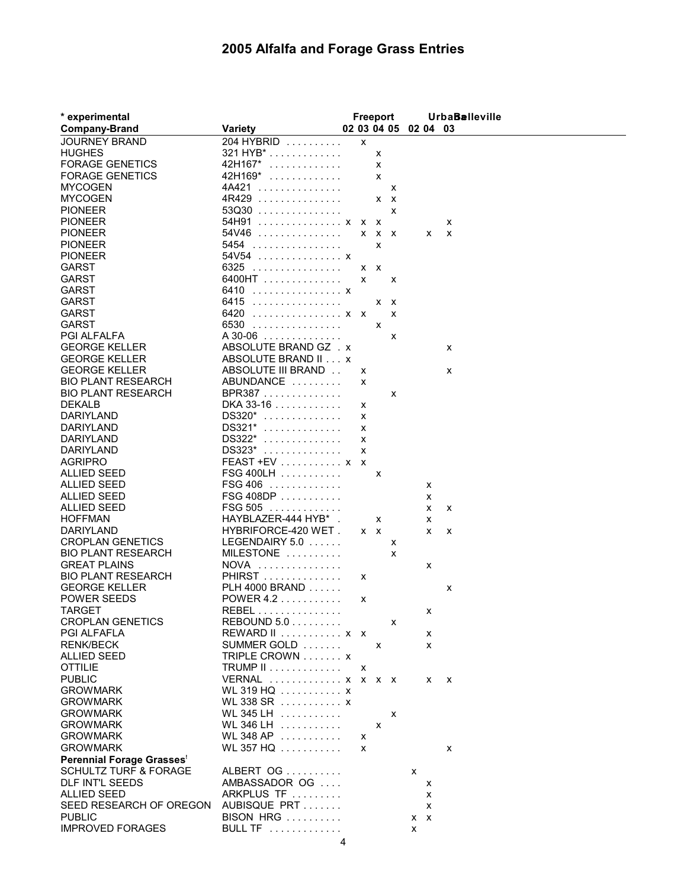## **2005 Alfalfa and Forage Grass Entries**

| * experimental                   |                                    |   |         | Freeport     |   |                      |   | <b>UrbaBalleville</b> |
|----------------------------------|------------------------------------|---|---------|--------------|---|----------------------|---|-----------------------|
| <b>Company-Brand</b>             | <b>Variety</b>                     |   |         |              |   | 02 03 04 05 02 04 03 |   |                       |
| JOURNEY BRAND                    | 204 HYBRID                         |   | x       |              |   |                      |   |                       |
| <b>HUGHES</b>                    | 321 HYB <sup>*</sup>               |   |         | x            |   |                      |   |                       |
| <b>FORAGE GENETICS</b>           | 42H167*<br>.                       |   |         | x            |   |                      |   |                       |
| <b>FORAGE GENETICS</b>           | 42H169*<br>.                       |   |         | x            |   |                      |   |                       |
| MYCOGEN                          | 4A421<br>.                         |   |         |              | х |                      |   |                       |
| <b>MYCOGEN</b>                   | 4R429                              |   |         | $X$ $X$      |   |                      |   |                       |
| <b>PIONEER</b>                   | $53Q30$                            |   |         |              | x |                      |   |                       |
| <b>PIONEER</b>                   | 54H91<br>. X X                     |   |         | $\mathsf{x}$ |   |                      |   | х                     |
| <b>PIONEER</b>                   | 54V46                              |   |         | $X$ $X$ $X$  |   |                      | X | X                     |
| <b>PIONEER</b>                   | 5454                               |   |         | X            |   |                      |   |                       |
| <b>PIONEER</b>                   | 54V54 x                            |   |         |              |   |                      |   |                       |
| <b>GARST</b>                     | 6325                               |   | $X$ $X$ |              |   |                      |   |                       |
| <b>GARST</b>                     | $6400HT$                           |   | x       |              | X |                      |   |                       |
| <b>GARST</b>                     | 6410<br>. X                        |   |         |              |   |                      |   |                       |
| <b>GARST</b>                     | 6415<br>.                          |   |         | $X$ $X$      |   |                      |   |                       |
| <b>GARST</b>                     | 6420<br>. X X                      |   |         |              | X |                      |   |                       |
| <b>GARST</b>                     | 6530                               |   |         |              |   |                      |   |                       |
|                                  |                                    |   |         | x            |   |                      |   |                       |
| <b>PGI ALFALFA</b>               | A 30-06                            |   |         |              | x |                      |   |                       |
| <b>GEORGE KELLER</b>             | ABSOLUTE BRAND GZ . x              |   |         |              |   |                      |   | x                     |
| <b>GEORGE KELLER</b>             | ABSOLUTE BRAND II x                |   |         |              |   |                      |   |                       |
| <b>GEORGE KELLER</b>             | ABSOLUTE III BRAND                 |   | х       |              |   |                      |   | х                     |
| <b>BIO PLANT RESEARCH</b>        | ABUNDANCE                          |   | X       |              |   |                      |   |                       |
| <b>BIO PLANT RESEARCH</b>        | BPR387                             |   |         |              | х |                      |   |                       |
| <b>DEKALB</b>                    | DKA 33-16                          |   | х       |              |   |                      |   |                       |
| <b>DARIYLAND</b>                 | DS320*<br>.                        |   | x       |              |   |                      |   |                       |
| <b>DARIYLAND</b>                 | DS321*<br>.                        |   | x       |              |   |                      |   |                       |
| DARIYLAND                        | DS322*<br>.                        |   | x       |              |   |                      |   |                       |
| <b>DARIYLAND</b>                 | DS323*<br>.                        |   | x       |              |   |                      |   |                       |
| <b>AGRIPRO</b>                   | $FEAST + EV \dots \dots \dots x x$ |   |         |              |   |                      |   |                       |
| ALLIED SEED                      | FSG 400LH                          |   |         | X            |   |                      |   |                       |
| ALLIED SEED                      | <b>FSG 406</b><br>.                |   |         |              |   |                      | х |                       |
| <b>ALLIED SEED</b>               | $FSG 408DP$                        |   |         |              |   |                      | х |                       |
| ALLIED SEED                      | <b>FSG 505</b><br>.                |   |         |              |   |                      | х | х                     |
| <b>HOFFMAN</b>                   | HAYBLAZER-444 HYB*.                |   |         | x            |   |                      | x |                       |
| DARIYLAND                        | HYBRIFORCE-420 WET.                |   | $X$ $X$ |              |   |                      | x | х                     |
| <b>CROPLAN GENETICS</b>          | LEGENDAIRY 5.0                     |   |         |              | х |                      |   |                       |
| <b>BIO PLANT RESEARCH</b>        | MILESTONE                          |   |         |              | x |                      |   |                       |
| <b>GREAT PLAINS</b>              | <b>NOVA</b><br>.                   |   |         |              |   |                      | х |                       |
| <b>BIO PLANT RESEARCH</b>        | PHIRST                             |   | х       |              |   |                      |   |                       |
| <b>GEORGE KELLER</b>             | PLH 4000 BRAND                     |   |         |              |   |                      |   | х                     |
| <b>POWER SEEDS</b>               | POWER 4.2 $\dots$                  |   | х       |              |   |                      |   |                       |
| TARGET                           | REBEL                              |   |         |              |   |                      | x |                       |
| <b>CROPLAN GENETICS</b>          | REBOUND $5.0$                      |   |         |              | x |                      |   |                       |
| PGI ALFAFLA                      | $REWARD II$ $x \times x$           |   |         |              |   |                      | х |                       |
| <b>RENK/BECK</b>                 | SUMMER GOLD                        |   |         | x            |   |                      | X |                       |
| ALLIED SEED                      | TRIPLE CROWN x                     |   |         |              |   |                      |   |                       |
| <b>OTTILIE</b>                   | <b>TRUMP II</b>                    |   | х       |              |   |                      |   |                       |
| <b>PUBLIC</b>                    | VERNAL  x x x x                    |   |         |              |   |                      | x | $\mathbf{x}$          |
| <b>GROWMARK</b>                  | WL 319 HQ $\ldots$ , $\ldots$ x    |   |         |              |   |                      |   |                       |
| <b>GROWMARK</b>                  | WL 338 SR  x                       |   |         |              |   |                      |   |                       |
| <b>GROWMARK</b>                  | WL 345 LH                          |   |         |              | X |                      |   |                       |
| <b>GROWMARK</b>                  | WL 346 LH                          |   |         | x            |   |                      |   |                       |
| <b>GROWMARK</b>                  | WL 348 AP $\dots\dots\dots$        |   | x       |              |   |                      |   |                       |
| <b>GROWMARK</b>                  | WL 357 HQ                          |   | X       |              |   |                      |   | x                     |
| Perennial Forage Grasses         |                                    |   |         |              |   |                      |   |                       |
| <b>SCHULTZ TURF &amp; FORAGE</b> | ALBERT OG                          |   |         |              |   | x                    |   |                       |
| DLF INT'L SEEDS                  | AMBASSADOR OG                      |   |         |              |   |                      | х |                       |
| ALLIED SEED                      | ARKPLUS TF                         |   |         |              |   |                      | х |                       |
| SEED RESEARCH OF OREGON          | AUBISQUE PRT                       |   |         |              |   |                      | x |                       |
| <b>PUBLIC</b>                    | BISON HRG                          |   |         |              |   | $X$ $X$              |   |                       |
| <b>IMPROVED FORAGES</b>          | <b>BULL TF</b>                     |   |         |              |   | x                    |   |                       |
|                                  |                                    | 4 |         |              |   |                      |   |                       |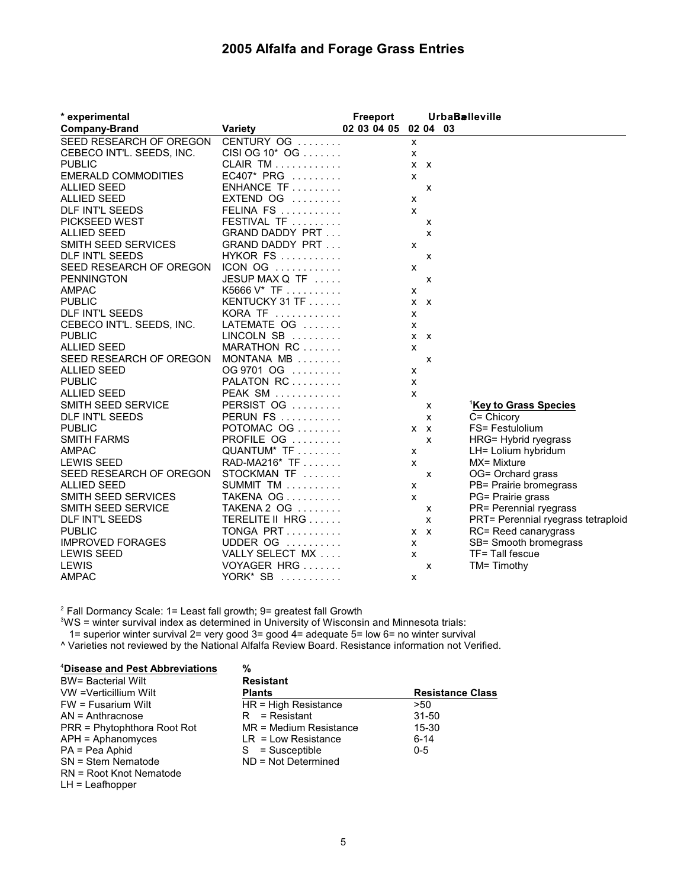## **2005 Alfalfa and Forage Grass Entries**

| * experimental                  |                                   | Freeport    |   |         | <b>UrbaBalleville</b>              |
|---------------------------------|-----------------------------------|-------------|---|---------|------------------------------------|
| <b>Company-Brand</b>            | <b>Variety</b>                    | 02 03 04 05 |   |         | 02 04 03                           |
| SEED RESEARCH OF OREGON         | CENTURY OG                        |             | x |         |                                    |
| CEBECO INT'L. SEEDS, INC.       | CISI OG $10^*$ OG $\ldots \ldots$ |             | x |         |                                    |
| <b>PUBLIC</b>                   | CLAIR TM $\ldots \ldots \ldots$   |             |   | $X$ $X$ |                                    |
| <b>EMERALD COMMODITIES</b>      | $EC407* PRG$                      |             | x |         |                                    |
| <b>ALLIED SEED</b>              | $ENHANCE TF$                      |             |   | X       |                                    |
| <b>ALLIED SEED</b>              | $EXTEND$ OG $\ldots \ldots$       |             | x |         |                                    |
| <b>DLF INT'L SEEDS</b>          | FELINA FS                         |             | X |         |                                    |
| PICKSEED WEST                   | FESTIVAL TF                       |             |   | x       |                                    |
| <b>ALLIED SEED</b>              | <b>GRAND DADDY PRT</b>            |             |   | X       |                                    |
| <b>SMITH SEED SERVICES</b>      | <b>GRAND DADDY PRT</b>            |             | x |         |                                    |
| <b>DLF INT'L SEEDS</b>          | <b>HYKOR FS</b>                   |             |   | X       |                                    |
| SEED RESEARCH OF OREGON ICON OG |                                   |             | x |         |                                    |
| <b>PENNINGTON</b>               | JESUP MAX Q TF                    |             |   | X       |                                    |
| <b>AMPAC</b>                    | K5666 $V^*$ TF                    |             | x |         |                                    |
| <b>PUBLIC</b>                   | KENTUCKY 31 TF $\ldots$           |             |   | $X$ $X$ |                                    |
| DLF INT'L SEEDS                 | KORA TF                           |             | x |         |                                    |
| CEBECO INT'L. SEEDS, INC.       | LATEMATE OG                       |             | x |         |                                    |
| <b>PUBLIC</b>                   | LINCOLN SB                        |             |   | $X$ $X$ |                                    |
| <b>ALLIED SEED</b>              | MARATHON RC                       |             | X |         |                                    |
| SEED RESEARCH OF OREGON         | MONTANA MB                        |             |   | x       |                                    |
| <b>ALLIED SEED</b>              | OG 9701 OG                        |             | x |         |                                    |
| <b>PUBLIC</b>                   | PALATON RC                        |             | x |         |                                    |
| <b>ALLIED SEED</b>              | PEAK SM                           |             | X |         |                                    |
| SMITH SEED SERVICE              | PERSIST OG                        |             |   | x       | <sup>1</sup> Key to Grass Species  |
| DLF INT'L SEEDS                 | <b>PERUN FS</b>                   |             |   | X       | $C =$ Chicory                      |
| <b>PUBLIC</b>                   | POTOMAC OG                        |             |   | $X$ $X$ | FS= Festulolium                    |
| <b>SMITH FARMS</b>              | PROFILE OG                        |             |   | X       | HRG= Hybrid ryegrass               |
| <b>AMPAC</b>                    | QUANTUM* TF                       |             | x |         | LH= Lolium hybridum                |
| <b>LEWIS SEED</b>               | RAD-MA216* TF                     |             | X |         | MX= Mixture                        |
| SEED RESEARCH OF OREGON         | STOCKMAN TF                       |             |   | X       | OG= Orchard grass                  |
| <b>ALLIED SEED</b>              | SUMMIT TM $\ldots \ldots \ldots$  |             | X |         | PB= Prairie bromegrass             |
| SMITH SEED SERVICES             | TAKENA OG                         |             | X |         | PG= Prairie grass                  |
| SMITH SEED SERVICE              | TAKENA 2 OG                       |             |   | X       | PR= Perennial ryegrass             |
| DLF INT'L SEEDS                 | TERELITE II HRG                   |             |   | x       | PRT= Perennial ryegrass tetraploid |
| <b>PUBLIC</b>                   | TONGA PRT                         |             |   | $X$ $X$ | RC= Reed canarygrass               |
| <b>IMPROVED FORAGES</b>         | UDDER OG                          |             | X |         | SB= Smooth bromegrass              |
| <b>LEWIS SEED</b>               | VALLY SELECT MX                   |             | X |         | TF= Tall fescue                    |
| LEWIS                           | VOYAGER HRG                       |             |   | x       | TM= Timothy                        |
| <b>AMPAC</b>                    | YORK* SB $\dots\dots\dots$        |             | x |         |                                    |

 $2$  Fall Dormancy Scale: 1= Least fall growth; 9= greatest fall Growth

 $^3$ WS = winter survival index as determined in University of Wisconsin and Minnesota trials:

1= superior winter survival 2= very good 3= good 4= adequate 5= low 6= no winter survival

^ Varieties not reviewed by the National Alfalfa Review Board. Resistance information not Verified.

| <sup>4</sup> Disease and Pest Abbreviations | %                        |                         |
|---------------------------------------------|--------------------------|-------------------------|
| <b>BW</b> = Bacterial Wilt                  | <b>Resistant</b>         |                         |
| VW = Verticillium Wilt                      | <b>Plants</b>            | <b>Resistance Class</b> |
| $FW = Fusarium$ Wilt                        | $HR = High Resistance$   | >50                     |
| $AN = Anthracnose$                          | $R =$ Resistant          | $31 - 50$               |
| PRR = Phytophthora Root Rot                 | $MR = Medium Resistance$ | 15-30                   |
| $APH =$ Aphanomyces                         | $LR = Low Resistance$    | $6 - 14$                |
| PA = Pea Aphid                              | $S =$ Susceptible        | $0 - 5$                 |
| SN = Stem Nematode                          | $ND = Not Determined$    |                         |
| RN = Root Knot Nematode                     |                          |                         |
|                                             |                          |                         |

LH = Leafhopper